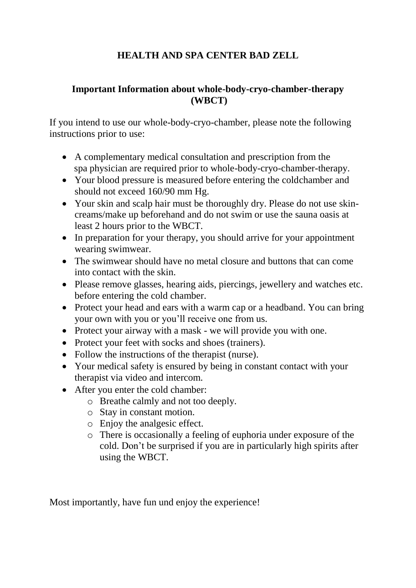## **HEALTH AND SPA CENTER BAD ZELL**

## **Important Information about whole-body-cryo-chamber-therapy (WBCT)**

If you intend to use our whole-body-cryo-chamber, please note the following instructions prior to use:

- A complementary medical consultation and prescription from the spa physician are required prior to whole-body-cryo-chamber-therapy.
- Your blood pressure is measured before entering the coldchamber and should not exceed 160/90 mm Hg.
- Your skin and scalp hair must be thoroughly dry. Please do not use skincreams/make up beforehand and do not swim or use the sauna oasis at least 2 hours prior to the WBCT.
- In preparation for your therapy, you should arrive for your appointment wearing swimwear.
- The swimwear should have no metal closure and buttons that can come into contact with the skin.
- Please remove glasses, hearing aids, piercings, jewellery and watches etc. before entering the cold chamber.
- Protect your head and ears with a warm cap or a headband. You can bring your own with you or you'll receive one from us.
- Protect your airway with a mask we will provide you with one.
- Protect your feet with socks and shoes (trainers).
- Follow the instructions of the therapist (nurse).
- Your medical safety is ensured by being in constant contact with your therapist via video and intercom.
- After you enter the cold chamber:
	- o Breathe calmly and not too deeply.
	- o Stay in constant motion.
	- o Enjoy the analgesic effect.
	- o There is occasionally a feeling of euphoria under exposure of the cold. Don't be surprised if you are in particularly high spirits after using the WBCT.

Most importantly, have fun und enjoy the experience!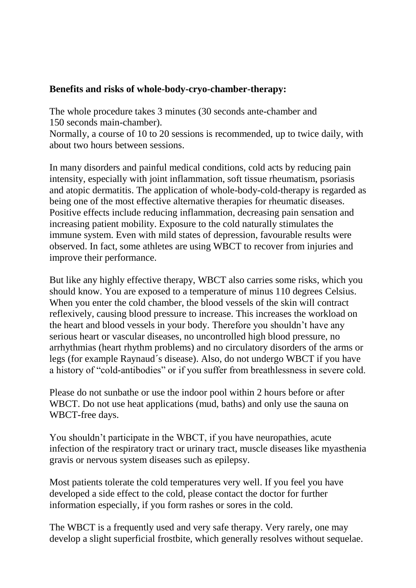## **Benefits and risks of whole-body-cryo-chamber-therapy:**

The whole procedure takes 3 minutes (30 seconds ante-chamber and 150 seconds main-chamber).

Normally, a course of 10 to 20 sessions is recommended, up to twice daily, with about two hours between sessions.

In many disorders and painful medical conditions, cold acts by reducing pain intensity, especially with joint inflammation, soft tissue rheumatism, psoriasis and atopic dermatitis. The application of whole-body-cold-therapy is regarded as being one of the most effective alternative therapies for rheumatic diseases. Positive effects include reducing inflammation, decreasing pain sensation and increasing patient mobility. Exposure to the cold naturally stimulates the immune system. Even with mild states of depression, favourable results were observed. In fact, some athletes are using WBCT to recover from injuries and improve their performance.

But like any highly effective therapy, WBCT also carries some risks, which you should know. You are exposed to a temperature of minus 110 degrees Celsius. When you enter the cold chamber, the blood vessels of the skin will contract reflexively, causing blood pressure to increase. This increases the workload on the heart and blood vessels in your body. Therefore you shouldn't have any serious heart or vascular diseases, no uncontrolled high blood pressure, no arrhythmias (heart rhythm problems) and no circulatory disorders of the arms or legs (for example Raynaud´s disease). Also, do not undergo WBCT if you have a history of "cold-antibodies" or if you suffer from breathlessness in severe cold.

Please do not sunbathe or use the indoor pool within 2 hours before or after WBCT. Do not use heat applications (mud, baths) and only use the sauna on WBCT-free days.

You shouldn't participate in the WBCT, if you have neuropathies, acute infection of the respiratory tract or urinary tract, muscle diseases like myasthenia gravis or nervous system diseases such as epilepsy.

Most patients tolerate the cold temperatures very well. If you feel you have developed a side effect to the cold, please contact the doctor for further information especially, if you form rashes or sores in the cold.

The WBCT is a frequently used and very safe therapy. Very rarely, one may develop a slight superficial frostbite, which generally resolves without sequelae.